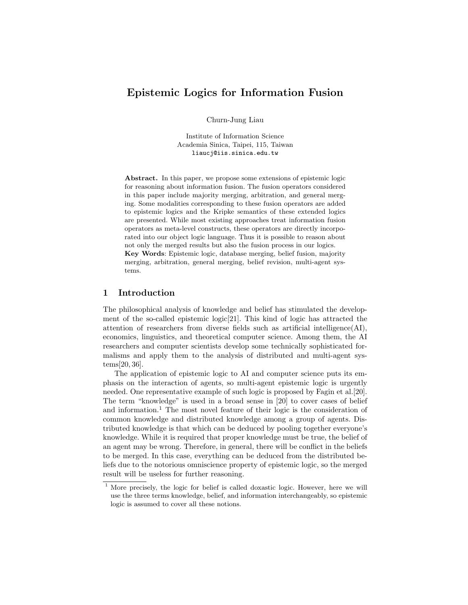# Epistemic Logics for Information Fusion

Churn-Jung Liau

Institute of Information Science Academia Sinica, Taipei, 115, Taiwan liaucj@iis.sinica.edu.tw

Abstract. In this paper, we propose some extensions of epistemic logic for reasoning about information fusion. The fusion operators considered in this paper include majority merging, arbitration, and general merging. Some modalities corresponding to these fusion operators are added to epistemic logics and the Kripke semantics of these extended logics are presented. While most existing approaches treat information fusion operators as meta-level constructs, these operators are directly incorporated into our object logic language. Thus it is possible to reason about not only the merged results but also the fusion process in our logics. Key Words: Epistemic logic, database merging, belief fusion, majority

merging, arbitration, general merging, belief revision, multi-agent systems.

### 1 Introduction

The philosophical analysis of knowledge and belief has stimulated the development of the so-called epistemic logic[21]. This kind of logic has attracted the attention of researchers from diverse fields such as artificial intelligence(AI), economics, linguistics, and theoretical computer science. Among them, the AI researchers and computer scientists develop some technically sophisticated formalisms and apply them to the analysis of distributed and multi-agent systems[20, 36].

The application of epistemic logic to AI and computer science puts its emphasis on the interaction of agents, so multi-agent epistemic logic is urgently needed. One representative example of such logic is proposed by Fagin et al.[20]. The term "knowledge" is used in a broad sense in [20] to cover cases of belief and information.<sup>1</sup> The most novel feature of their logic is the consideration of common knowledge and distributed knowledge among a group of agents. Distributed knowledge is that which can be deduced by pooling together everyone's knowledge. While it is required that proper knowledge must be true, the belief of an agent may be wrong. Therefore, in general, there will be conflict in the beliefs to be merged. In this case, everything can be deduced from the distributed beliefs due to the notorious omniscience property of epistemic logic, so the merged result will be useless for further reasoning.

<sup>&</sup>lt;sup>1</sup> More precisely, the logic for belief is called doxastic logic. However, here we will use the three terms knowledge, belief, and information interchangeably, so epistemic logic is assumed to cover all these notions.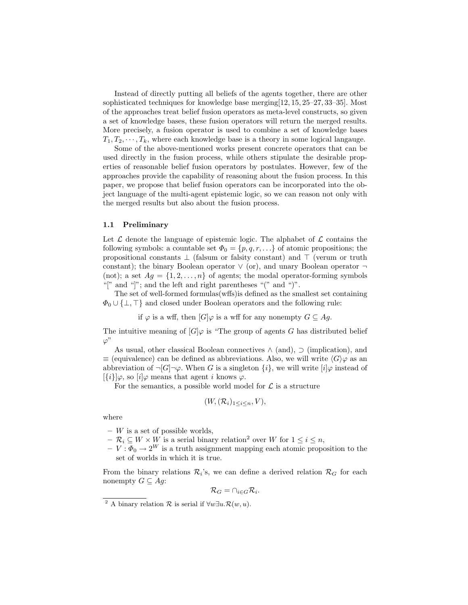Instead of directly putting all beliefs of the agents together, there are other sophisticated techniques for knowledge base merging[12, 15, 25–27, 33–35]. Most of the approaches treat belief fusion operators as meta-level constructs, so given a set of knowledge bases, these fusion operators will return the merged results. More precisely, a fusion operator is used to combine a set of knowledge bases  $T_1, T_2, \dots, T_k$ , where each knowledge base is a theory in some logical language.

Some of the above-mentioned works present concrete operators that can be used directly in the fusion process, while others stipulate the desirable properties of reasonable belief fusion operators by postulates. However, few of the approaches provide the capability of reasoning about the fusion process. In this paper, we propose that belief fusion operators can be incorporated into the object language of the multi-agent epistemic logic, so we can reason not only with the merged results but also about the fusion process.

#### 1.1 Preliminary

Let  $\mathcal L$  denote the language of epistemic logic. The alphabet of  $\mathcal L$  contains the following symbols: a countable set  $\Phi_0 = \{p, q, r, ...\}$  of atomic propositions; the propositional constants  $\perp$  (falsum or falsity constant) and  $\perp$  (verum or truth constant); the binary Boolean operator  $\vee$  (or), and unary Boolean operator  $\neg$ (not); a set  $Ag = \{1, 2, ..., n\}$  of agents; the modal operator-forming symbols "[" and "]"; and the left and right parentheses "(" and ")".

The set of well-formed formulas(wffs)is defined as the smallest set containing  $\Phi_0 \cup {\{\perp, \top\}}$  and closed under Boolean operators and the following rule:

if  $\varphi$  is a wff, then  $[G]\varphi$  is a wff for any nonempty  $G \subseteq Ag$ .

The intuitive meaning of  $[G]\varphi$  is "The group of agents G has distributed belief  $\varphi$ "

As usual, other classical Boolean connectives  $\wedge$  (and),  $\supset$  (implication), and  $\equiv$  (equivalence) can be defined as abbreviations. Also, we will write  $\langle G \rangle \varphi$  as an abbreviation of  $\neg [G]\neg \varphi$ . When G is a singleton  $\{i\}$ , we will write  $[i]\varphi$  instead of  $[\{i\}]\varphi$ , so  $[i]\varphi$  means that agent i knows  $\varphi$ .

For the semantics, a possible world model for  $\mathcal L$  is a structure

$$
(W, (\mathcal{R}_i)_{1 \leq i \leq n}, V),
$$

where

- $-$  W is a set of possible worlds,
- $-\mathcal{R}_i \subseteq W \times \overline{W}$  is a serial binary relation<sup>2</sup> over W for  $1 \leq i \leq n$ ,

 $-V : \Phi_0 \to 2^W$  is a truth assignment mapping each atomic proposition to the set of worlds in which it is true.

From the binary relations  $\mathcal{R}_i$ 's, we can define a derived relation  $\mathcal{R}_G$  for each nonempty  $G \subseteq Ag$ :

$$
\mathcal{R}_G = \cap_{i \in G} \mathcal{R}_i.
$$

<sup>&</sup>lt;sup>2</sup> A binary relation  $\mathcal R$  is serial if  $\forall w \exists u \cdot \mathcal R(w, u)$ .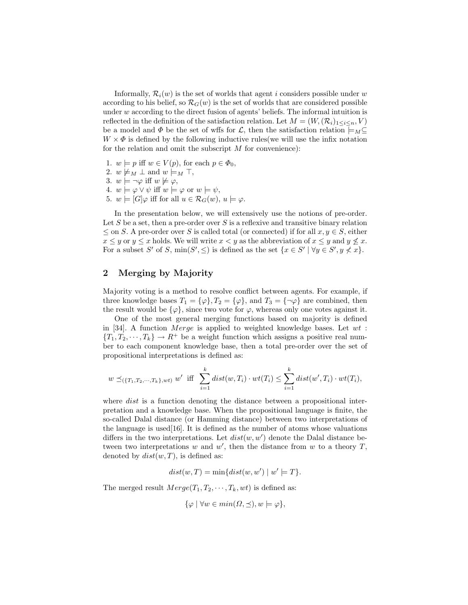Informally,  $\mathcal{R}_i(w)$  is the set of worlds that agent i considers possible under w according to his belief, so  $\mathcal{R}_G(w)$  is the set of worlds that are considered possible under  $w$  according to the direct fusion of agents' beliefs. The informal intuition is reflected in the definition of the satisfaction relation. Let  $M = (W, (\mathcal{R}_i)_{1 \leq i \leq n}, V)$ be a model and  $\Phi$  be the set of wffs for  $\mathcal{L}$ , then the satisfaction relation  $\models_M \subseteq$  $W \times \Phi$  is defined by the following inductive rules we will use the infix notation for the relation and omit the subscript  $M$  for convenience):

- 1.  $w \models p$  iff  $w \in V(p)$ , for each  $p \in \Phi_0$ ,
- 2.  $w \not\models M \bot$  and  $w \models_M \top$ ,
- 3.  $w \models \neg \varphi$  iff  $w \not\models \varphi$ ,
- 4.  $w \models \varphi \lor \psi$  iff  $w \models \varphi$  or  $w \models \psi$ ,
- 5.  $w \models [G] \varphi$  iff for all  $u \in \mathcal{R}_G(w)$ ,  $u \models \varphi$ .

In the presentation below, we will extensively use the notions of pre-order. Let  $S$  be a set, then a pre-order over  $S$  is a reflexive and transitive binary relation  $\leq$  on S. A pre-order over S is called total (or connected) if for all  $x, y \in S$ , either  $x \leq y$  or  $y \leq x$  holds. We will write  $x < y$  as the abbreviation of  $x \leq y$  and  $y \not\leq x$ . For a subset S' of S,  $\min(S', \leq)$  is defined as the set  $\{x \in S' \mid \forall y \in S', y \nless x\}.$ 

## 2 Merging by Majority

Majority voting is a method to resolve conflict between agents. For example, if three knowledge bases  $T_1 = {\varphi}, T_2 = {\varphi},$  and  $T_3 = {\neg \varphi}$  are combined, then the result would be  $\{\varphi\}$ , since two vote for  $\varphi$ , whereas only one votes against it.

One of the most general merging functions based on majority is defined in [34]. A function *Merge* is applied to weighted knowledge bases. Let  $wt$ :  ${T_1, T_2, \dots, T_k} \rightarrow R^+$  be a weight function which assigns a positive real number to each component knowledge base, then a total pre-order over the set of propositional interpretations is defined as:

$$
w \preceq_{(\{T_1, T_2, \cdots, T_k\}, wt)} w'
$$
 iff  $\sum_{i=1}^k dist(w, T_i) \cdot wt(T_i) \leq \sum_{i=1}^k dist(w', T_i) \cdot wt(T_i)$ ,

where *dist* is a function denoting the distance between a propositional interpretation and a knowledge base. When the propositional language is finite, the so-called Dalal distance (or Hamming distance) between two interpretations of the language is used [16]. It is defined as the number of atoms whose valuations differs in the two interpretations. Let  $dist(w, w')$  denote the Dalal distance between two interpretations  $w$  and  $w'$ , then the distance from  $w$  to a theory  $T$ , denoted by  $dist(w, T)$ , is defined as:

$$
dist(w, T) = \min\{dist(w, w') \mid w' \models T\}.
$$

The merged result  $Merge(T_1, T_2, \cdots, T_k, wt)$  is defined as:

$$
\{\varphi \mid \forall w \in min(\Omega, \preceq), w \models \varphi\},\
$$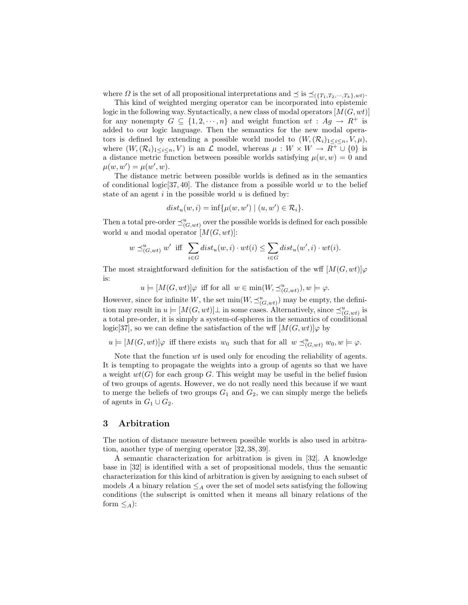where  $\Omega$  is the set of all propositional interpretations and  $\preceq$  is  $\preceq_{(\{T_1, T_2, \dots, T_k\}, wt)}$ .

This kind of weighted merging operator can be incorporated into epistemic logic in the following way. Syntactically, a new class of modal operators  $[M(G, wt)]$ for any nonempty  $G \subseteq \{1, 2, \dots, n\}$  and weight function  $wt : Ag \to R^+$  is added to our logic language. Then the semantics for the new modal operators is defined by extending a possible world model to  $(W,(\mathcal{R}_i)_{1\leq i\leq n},V,\mu)$ , where  $(W,(\mathcal{R}_i)_{1\leq i\leq n},V)$  is an  $\mathcal L$  model, whereas  $\mu:W\times W\to \overline{R^+}\cup\{0\}$  is a distance metric function between possible worlds satisfying  $\mu(w, w) = 0$  and  $\mu(w, w') = \mu(w', w).$ 

The distance metric between possible worlds is defined as in the semantics of conditional logic  $[37, 40]$ . The distance from a possible world w to the belief state of an agent  $i$  in the possible world  $u$  is defined by:

$$
dist_u(w, i) = \inf \{ \mu(w, w') \mid (u, w') \in \mathcal{R}_i \}.
$$

Then a total pre-order  $\preceq^u_{(G,wt)}$  over the possible worlds is defined for each possible world u and modal operator  $[M(G, wt)]$ :

$$
w \preceq_{(G, wt)}^u w' \text{ iff } \sum_{i \in G} dist_u(w, i) \cdot wt(i) \leq \sum_{i \in G} dist_u(w', i) \cdot wt(i).
$$

The most straightforward definition for the satisfaction of the wff  $[M(G, wt)]\varphi$ is:

 $u \models [M(G, wt)]\varphi$  iff for all  $w \in \min(W, \preceq^u_{(G, wt)})$ ,  $w \models \varphi$ .

However, since for infinite W, the set  $\min(W, \preceq^u_{(G, wt)})$  may be empty, the definition may result in  $u \models [M(G, wt)] \bot$  in some cases. Alternatively, since  $\preceq^u_{(G, wt)}$  is a total pre-order, it is simply a system-of-spheres in the semantics of conditional logic[37], so we can define the satisfaction of the wff  $[M(G, wt)]\varphi$  by

 $u \models [M(G, wt)]\varphi$  iff there exists  $w_0$  such that for all  $w \preceq_{(G, wt)}^u w_0, w \models \varphi$ .

Note that the function wt is used only for encoding the reliability of agents. It is tempting to propagate the weights into a group of agents so that we have a weight  $wt(G)$  for each group G. This weight may be useful in the belief fusion of two groups of agents. However, we do not really need this because if we want to merge the beliefs of two groups  $G_1$  and  $G_2$ , we can simply merge the beliefs of agents in  $G_1 \cup G_2$ .

### 3 Arbitration

The notion of distance measure between possible worlds is also used in arbitration, another type of merging operator [32, 38, 39].

A semantic characterization for arbitration is given in [32]. A knowledge base in [32] is identified with a set of propositional models, thus the semantic characterization for this kind of arbitration is given by assigning to each subset of models A a binary relation  $\leq_A$  over the set of model sets satisfying the following conditions (the subscript is omitted when it means all binary relations of the form  $\leq_A$ ):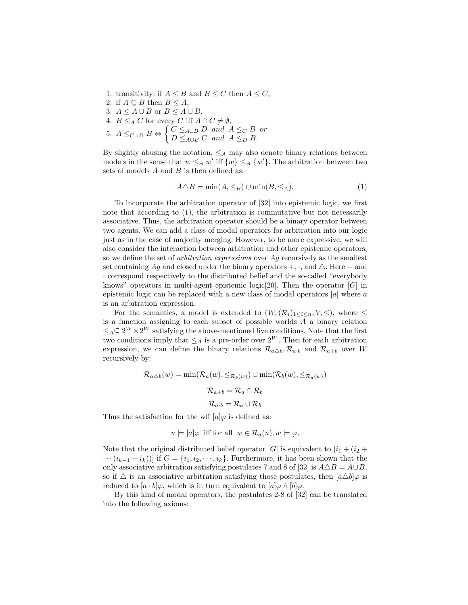- 1. transitivity: if  $A \leq B$  and  $B \leq C$  then  $A \leq C$ , 2. if  $A \subseteq B$  then  $B \leq A$ , 3.  $A \leq A \cup B$  or  $B \leq A \cup B$ , 4.  $B \leq_A C$  for every C iff  $A \cap C \neq \emptyset$ ,
- 5.  $A \leq_{C \cup D} B \Leftrightarrow \begin{cases} C \leq_{A \cup B} D \text{ and } A \leq_{C} B \text{ or } D \leq_{A \cup B} C \text{ and } A \leq_{B} B \end{cases}$  $D \leq_{A\cup B} C$  and  $A \leq_D B$ .

By slightly abusing the notation,  $\leq_A$  may also denote binary relations between models in the sense that  $w \leq_A w'$  iff  $\{w\} \leq_A \{w'\}$ . The arbitration between two sets of models  $A$  and  $B$  is then defined as:

$$
A \triangle B = \min(A, \leq_B) \cup \min(B, \leq_A). \tag{1}
$$

To incorporate the arbitration operator of [32] into epistemic logic, we first note that according to  $(1)$ , the arbitration is commutative but not necessarily associative. Thus, the arbitration operator should be a binary operator between two agents. We can add a class of modal operators for arbitration into our logic just as in the case of majority merging. However, to be more expressive, we will also consider the interaction between arbitration and other epistemic operators, so we define the set of *arbitration expressions* over  $Aq$  recursively as the smallest set containing Ag and closed under the binary operators  $+$ ,  $\cdot$ , and  $\triangle$ . Here  $+$  and · correspond respectively to the distributed belief and the so-called "everybody knows" operators in multi-agent epistemic logic<sup>[20]</sup>. Then the operator  $[G]$  in epistemic logic can be replaced with a new class of modal operators  $[a]$  where  $a$ is an arbitration expression.

For the semantics, a model is extended to  $(W,(\mathcal{R}_i)_{1\leq i\leq n},V,\leq),$  where  $\leq$ is a function assigning to each subset of possible worlds A a binary relation  $\leq_A \subseteq 2^W \times 2^W$  satisfying the above-mentioned five conditions. Note that the first two conditions imply that  $\leq_A$  is a pre-order over  $2^W$ . Then for each arbitration expression, we can define the binary relations  $\mathcal{R}_{a\Delta b}$ ,  $\mathcal{R}_{a\cdot b}$  and  $\mathcal{R}_{a+b}$  over W recursively by:

$$
\mathcal{R}_{a\triangle b}(w) = \min(\mathcal{R}_a(w), \leq_{\mathcal{R}_b(w)}) \cup \min(\mathcal{R}_b(w), \leq_{\mathcal{R}_a(w)})
$$

$$
\mathcal{R}_{a+b} = \mathcal{R}_a \cap \mathcal{R}_b
$$

$$
\mathcal{R}_{a \cdot b} = \mathcal{R}_a \cup \mathcal{R}_b
$$

Thus the satisfaction for the wff  $[a]\varphi$  is defined as:

$$
u \models [a]\varphi
$$
 iff for all  $w \in \mathcal{R}_a(u), w \models \varphi$ .

Note that the original distributed belief operator [G] is equivalent to  $[i_1 + (i_2 + ...)$  $\cdots (i_{k-1} + i_k))$  if  $G = \{i_1, i_2, \dots, i_k\}$ . Furthermore, it has been shown that the only associative arbitration satisfying postulates 7 and 8 of [32] is  $A\triangle B = A\cup B$ , so if  $\triangle$  is an associative arbitration satisfying those postulates, then  $[a \triangle b]\varphi$  is reduced to  $[a \cdot b]\varphi$ , which is in turn equivalent to  $[a]\varphi \wedge [b]\varphi$ .

By this kind of modal operators, the postulates 2-8 of [32] can be translated into the following axioms: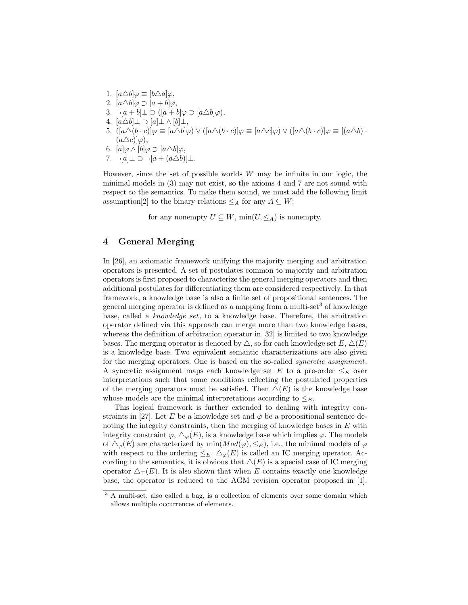1.  $[a \triangle b] \varphi \equiv [b \triangle a] \varphi$ , 2.  $[a \triangle b] \varphi \supset [a+b] \varphi$ , 3.  $\neg[a+b] \perp \supset \left(\left[a+b\right] \varphi \supset \left[a \triangle b\right] \varphi\right),$ 4.  $[a \triangle b] \perp \supset [a] \perp \wedge [b] \perp$ , 5.  $([a\triangle (b\cdot c)]\varphi \equiv [a\triangle b]\varphi) \vee ([a\triangle (b\cdot c)]\varphi \equiv [a\triangle c]\varphi) \vee ([a\triangle (b\cdot c)]\varphi \equiv [(a\triangle b)\cdot$  $(a\triangle c)|\varphi\rangle,$ 6.  $[a]\varphi \wedge [b]\varphi \supset [a \triangle b]\varphi,$ 7.  $\neg[a] \bot \supset \neg[a + (a \triangle b)] \bot$ .

However, since the set of possible worlds  $W$  may be infinite in our logic, the minimal models in (3) may not exist, so the axioms 4 and 7 are not sound with respect to the semantics. To make them sound, we must add the following limit assumption[2] to the binary relations  $\leq_A$  for any  $A \subseteq W$ :

for any nonempty  $U \subseteq W$ ,  $\min(U, \leq_A)$  is nonempty.

# 4 General Merging

In [26], an axiomatic framework unifying the majority merging and arbitration operators is presented. A set of postulates common to majority and arbitration operators is first proposed to characterize the general merging operators and then additional postulates for differentiating them are considered respectively. In that framework, a knowledge base is also a finite set of propositional sentences. The general merging operator is defined as a mapping from a multi-set<sup>3</sup> of knowledge base, called a knowledge set, to a knowledge base. Therefore, the arbitration operator defined via this approach can merge more than two knowledge bases, whereas the definition of arbitration operator in [32] is limited to two knowledge bases. The merging operator is denoted by  $\triangle$ , so for each knowledge set  $E, \triangle(E)$ is a knowledge base. Two equivalent semantic characterizations are also given for the merging operators. One is based on the so-called syncretic assignment. A syncretic assignment maps each knowledge set E to a pre-order  $\leq_F$  over interpretations such that some conditions reflecting the postulated properties of the merging operators must be satisfied. Then  $\Delta(E)$  is the knowledge base whose models are the minimal interpretations according to  $\leq_E$ .

This logical framework is further extended to dealing with integrity constraints in [27]. Let E be a knowledge set and  $\varphi$  be a propositional sentence denoting the integrity constraints, then the merging of knowledge bases in  $E$  with integrity constraint  $\varphi$ ,  $\Delta_{\varphi}(E)$ , is a knowledge base which implies  $\varphi$ . The models of  $\Delta_{\varphi}(E)$  are characterized by min $(Mod(\varphi), \leq_E)$ , i.e., the minimal models of  $\varphi$ with respect to the ordering  $\leq_E$ .  $\Delta_{\varphi}(E)$  is called an IC merging operator. According to the semantics, it is obvious that  $\Delta(E)$  is a special case of IC merging operator  $\Delta_{\top}(E)$ . It is also shown that when E contains exactly one knowledge base, the operator is reduced to the AGM revision operator proposed in [1].

<sup>&</sup>lt;sup>3</sup> A multi-set, also called a bag, is a collection of elements over some domain which allows multiple occurrences of elements.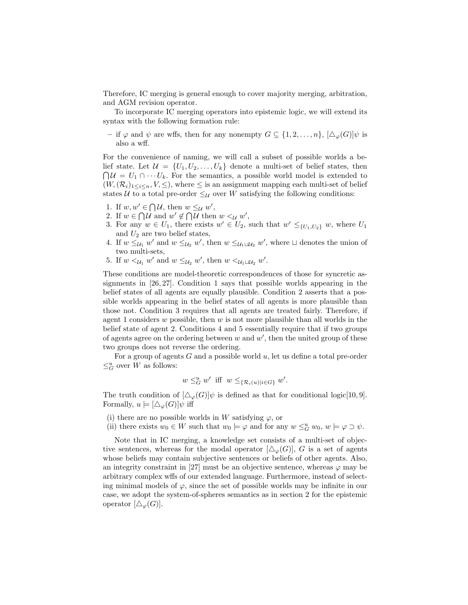Therefore, IC merging is general enough to cover majority merging, arbitration, and AGM revision operator.

To incorporate IC merging operators into epistemic logic, we will extend its syntax with the following formation rule:

– if  $\varphi$  and  $\psi$  are wffs, then for any nonempty  $G \subseteq \{1, 2, ..., n\}$ ,  $[\Delta_{\varphi}(G)]\psi$  is also a wff.

For the convenience of naming, we will call a subset of possible worlds a belief state. Let  $\mathcal{U} = \{U_1, U_2, \ldots, U_k\}$  denote a multi-set of belief states, then  $\bigcap \mathcal{U} = U_1 \cap \cdots U_k$ . For the semantics, a possible world model is extended to  $(W,(\mathcal{R}_i)_{1\leq i\leq n},V,\leq),$  where  $\leq$  is an assignment mapping each multi-set of belief states U to a total pre-order  $\leq_{\mathcal{U}}$  over W satisfying the following conditions:

- 1. If  $w, w' \in \bigcap \mathcal{U}$ , then  $w \leq_{\mathcal{U}} w'$ ,
- 2. If  $w \in \bigcap \mathcal{U}$  and  $w' \notin \bigcap \mathcal{U}$  then  $w \leq_{\mathcal{U}} w'$ ,
- 3. For any  $w \in U_1$ , there exists  $w' \in U_2$ , such that  $w' \leq_{\{U_1, U_2\}} w$ , where  $U_1$ and  $U_2$  are two belief states,
- 4. If  $w \leq_{\mathcal{U}_1} w'$  and  $w \leq_{\mathcal{U}_2} w'$ , then  $w \leq_{\mathcal{U}_1 \sqcup \mathcal{U}_2} w'$ , where  $\sqcup$  denotes the union of two multi-sets,
- 5. If  $w <_{\mathcal{U}_1} w'$  and  $w \leq_{\mathcal{U}_2} w'$ , then  $w <_{\mathcal{U}_1 \sqcup \mathcal{U}_2} w'$ .

These conditions are model-theoretic correspondences of those for syncretic assignments in [26, 27]. Condition 1 says that possible worlds appearing in the belief states of all agents are equally plausible. Condition 2 asserts that a possible worlds appearing in the belief states of all agents is more plausible than those not. Condition 3 requires that all agents are treated fairly. Therefore, if agent 1 considers  $w$  possible, then  $w$  is not more plausible than all worlds in the belief state of agent 2. Conditions 4 and 5 essentially require that if two groups of agents agree on the ordering between  $w$  and  $w'$ , then the united group of these two groups does not reverse the ordering.

For a group of agents  $G$  and a possible world  $u$ , let us define a total pre-order  $\leq_G^u$  over W as follows:

$$
w \leq_G^u w'
$$
 iff  $w \leq_{\{\mathcal{R}_i(u)|i \in G\}} w'$ .

The truth condition of  $[\Delta_{\varphi}(G)]\psi$  is defined as that for conditional logic[10,9]. Formally,  $u \models [\Delta_{\varphi}(G)]\psi$  iff

- (i) there are no possible worlds in W satisfying  $\varphi$ , or
- (ii) there exists  $w_0 \in W$  such that  $w_0 \models \varphi$  and for any  $w \leq_G^u w_0$ ,  $w \models \varphi \supset \psi$ .

Note that in IC merging, a knowledge set consists of a multi-set of objective sentences, whereas for the modal operator  $[\Delta_{\varphi}(G)]$ , G is a set of agents whose beliefs may contain subjective sentences or beliefs of other agents. Also, an integrity constraint in [27] must be an objective sentence, whereas  $\varphi$  may be arbitrary complex wffs of our extended language. Furthermore, instead of selecting minimal models of  $\varphi$ , since the set of possible worlds may be infinite in our case, we adopt the system-of-spheres semantics as in section 2 for the epistemic operator  $[\Delta_{\varphi}(G)].$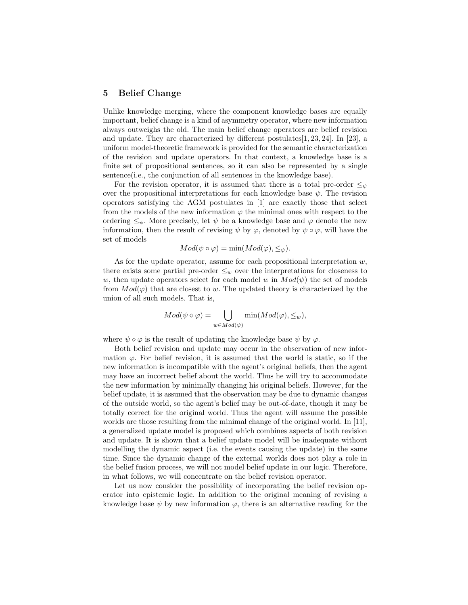#### 5 Belief Change

Unlike knowledge merging, where the component knowledge bases are equally important, belief change is a kind of asymmetry operator, where new information always outweighs the old. The main belief change operators are belief revision and update. They are characterized by different postulates  $[1, 23, 24]$ . In [23], a uniform model-theoretic framework is provided for the semantic characterization of the revision and update operators. In that context, a knowledge base is a finite set of propositional sentences, so it can also be represented by a single sentence(i.e., the conjunction of all sentences in the knowledge base).

For the revision operator, it is assumed that there is a total pre-order  $\leq_{\psi}$ over the propositional interpretations for each knowledge base  $\psi$ . The revision operators satisfying the AGM postulates in [1] are exactly those that select from the models of the new information  $\varphi$  the minimal ones with respect to the ordering  $\leq_{\psi}$ . More precisely, let  $\psi$  be a knowledge base and  $\varphi$  denote the new information, then the result of revising  $\psi$  by  $\varphi$ , denoted by  $\psi \circ \varphi$ , will have the set of models

$$
Mod(\psi \circ \varphi) = \min(Mod(\varphi), \leq_{\psi}).
$$

As for the update operator, assume for each propositional interpretation  $w$ , there exists some partial pre-order  $\leq_w$  over the interpretations for closeness to w, then update operators select for each model w in  $Mod(\psi)$  the set of models from  $Mod(\varphi)$  that are closest to w. The updated theory is characterized by the union of all such models. That is,

$$
Mod(\psi \diamond \varphi) = \bigcup_{w \in Mod(\psi)} min(Mod(\varphi), \leq_w),
$$

where  $\psi \diamond \varphi$  is the result of updating the knowledge base  $\psi$  by  $\varphi$ .

Both belief revision and update may occur in the observation of new information  $\varphi$ . For belief revision, it is assumed that the world is static, so if the new information is incompatible with the agent's original beliefs, then the agent may have an incorrect belief about the world. Thus he will try to accommodate the new information by minimally changing his original beliefs. However, for the belief update, it is assumed that the observation may be due to dynamic changes of the outside world, so the agent's belief may be out-of-date, though it may be totally correct for the original world. Thus the agent will assume the possible worlds are those resulting from the minimal change of the original world. In [11], a generalized update model is proposed which combines aspects of both revision and update. It is shown that a belief update model will be inadequate without modelling the dynamic aspect (i.e. the events causing the update) in the same time. Since the dynamic change of the external worlds does not play a role in the belief fusion process, we will not model belief update in our logic. Therefore, in what follows, we will concentrate on the belief revision operator.

Let us now consider the possibility of incorporating the belief revision operator into epistemic logic. In addition to the original meaning of revising a knowledge base  $\psi$  by new information  $\varphi$ , there is an alternative reading for the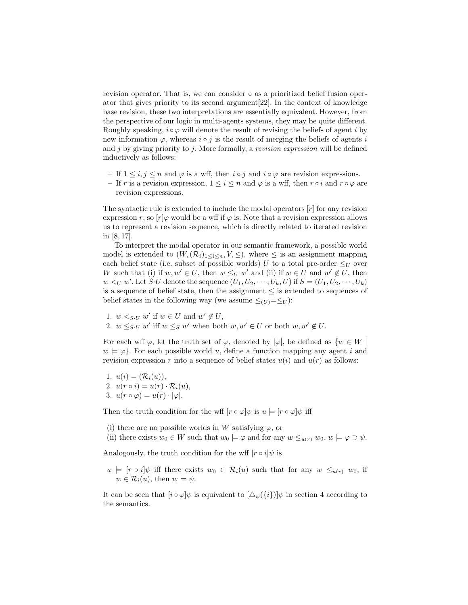revision operator. That is, we can consider ◦ as a prioritized belief fusion operator that gives priority to its second argument[22]. In the context of knowledge base revision, these two interpretations are essentially equivalent. However, from the perspective of our logic in multi-agents systems, they may be quite different. Roughly speaking,  $i \circ \varphi$  will denote the result of revising the beliefs of agent i by new information  $\varphi$ , whereas  $i \circ j$  is the result of merging the beliefs of agents i and  $j$  by giving priority to  $j$ . More formally, a *revision expression* will be defined inductively as follows:

- If  $1 \leq i, j \leq n$  and  $\varphi$  is a wff, then  $i \circ j$  and  $i \circ \varphi$  are revision expressions.
- If r is a revision expression,  $1 \leq i \leq n$  and  $\varphi$  is a wff, then  $r \circ i$  and  $r \circ \varphi$  are revision expressions.

The syntactic rule is extended to include the modal operators  $[r]$  for any revision expression r, so  $[r]\varphi$  would be a wff if  $\varphi$  is. Note that a revision expression allows us to represent a revision sequence, which is directly related to iterated revision in [8, 17].

To interpret the modal operator in our semantic framework, a possible world model is extended to  $(W, (\mathcal{R}_i)_{1 \leq i \leq n}, V, \leq),$  where  $\leq$  is an assignment mapping each belief state (i.e. subset of possible worlds) U to a total pre-order  $\leq_U$  over W such that (i) if  $w, w' \in U$ , then  $w \leq_U w'$  and (ii) if  $w \in U$  and  $w' \notin U$ , then  $w <_U w'$ . Let S·U denote the sequence  $(U_1, U_2, \dots, U_k, U)$  if  $S = (U_1, U_2, \dots, U_k)$ is a sequence of belief state, then the assignment  $\leq$  is extended to sequences of belief states in the following way (we assume  $\leq_{(U)}=\leq_U$ ):

- 1.  $w <_{S\cdot U} w'$  if  $w \in U$  and  $w' \notin U$ ,
- 2.  $w \leq_{S\cdot U} w'$  iff  $w \leq_S w'$  when both  $w, w' \in U$  or both  $w, w' \notin U$ .

For each wff  $\varphi$ , let the truth set of  $\varphi$ , denoted by  $|\varphi|$ , be defined as  $\{w \in W \mid$  $w \models \varphi$ . For each possible world u, define a function mapping any agent i and revision expression r into a sequence of belief states  $u(i)$  and  $u(r)$  as follows:

1.  $u(i) = (\mathcal{R}_i(u)),$ 2.  $u(r \circ i) = u(r) \cdot \mathcal{R}_i(u),$ 3.  $u(r \circ \varphi) = u(r) \cdot |\varphi|$ .

Then the truth condition for the wff  $[r \circ \varphi]\psi$  is  $u \models [r \circ \varphi]\psi$  iff

(i) there are no possible worlds in W satisfying  $\varphi$ , or

(ii) there exists  $w_0 \in W$  such that  $w_0 \models \varphi$  and for any  $w \leq_{u(r)} w_0$ ,  $w \models \varphi \supset \psi$ .

Analogously, the truth condition for the wff  $[r \circ i]\psi$  is

 $u \models [r \circ i]\psi$  iff there exists  $w_0 \in \mathcal{R}_i(u)$  such that for any  $w \leq_{u(r)} w_0$ , if  $w \in \mathcal{R}_i(u)$ , then  $w \models \psi$ .

It can be seen that  $[i \circ \varphi]\psi$  is equivalent to  $[\Delta_{\varphi}(\{i\})]\psi$  in section 4 according to the semantics.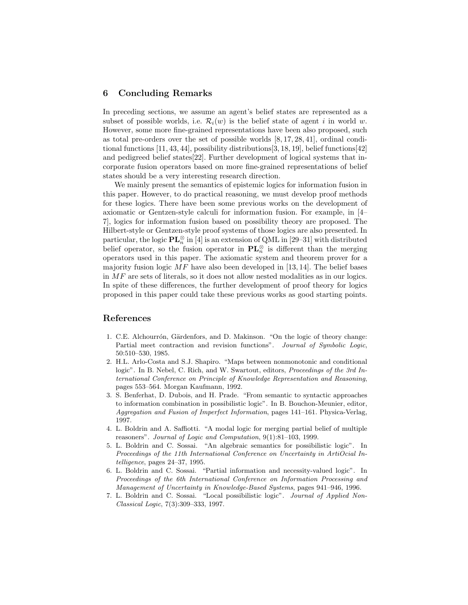#### 6 Concluding Remarks

In preceding sections, we assume an agent's belief states are represented as a subset of possible worlds, i.e.  $\mathcal{R}_i(w)$  is the belief state of agent i in world w. However, some more fine-grained representations have been also proposed, such as total pre-orders over the set of possible worlds [8, 17, 28, 41], ordinal conditional functions [11, 43, 44], possibility distributions[3, 18, 19], belief functions[42] and pedigreed belief states[22]. Further development of logical systems that incorporate fusion operators based on more fine-grained representations of belief states should be a very interesting research direction.

We mainly present the semantics of epistemic logics for information fusion in this paper. However, to do practical reasoning, we must develop proof methods for these logics. There have been some previous works on the development of axiomatic or Gentzen-style calculi for information fusion. For example, in [4– 7], logics for information fusion based on possibility theory are proposed. The Hilbert-style or Gentzen-style proof systems of those logics are also presented. In particular, the logic  $\mathbf{PL}_n^{\otimes}$  in [4] is an extension of QML in [29–31] with distributed belief operator, so the fusion operator in  $\mathbf{PL}_n^{\otimes}$  is different than the merging operators used in this paper. The axiomatic system and theorem prover for a majority fusion logic  $MF$  have also been developed in [13, 14]. The belief bases in MF are sets of literals, so it does not allow nested modalities as in our logics. In spite of these differences, the further development of proof theory for logics proposed in this paper could take these previous works as good starting points.

### References

- 1. C.E. Alchourrón, Gärdenfors, and D. Makinson. "On the logic of theory change: Partial meet contraction and revision functions". Journal of Symbolic Logic, 50:510–530, 1985.
- 2. H.L. Arlo-Costa and S.J. Shapiro. "Maps between nonmonotonic and conditional logic". In B. Nebel, C. Rich, and W. Swartout, editors, *Proceedings of the 3rd In*ternational Conference on Principle of Knowledge Representation and Reasoning, pages 553–564. Morgan Kaufmann, 1992.
- 3. S. Benferhat, D. Dubois, and H. Prade. "From semantic to syntactic approaches to information combination in possibilistic logic". In B. Bouchon-Meunier, editor, Aggregation and Fusion of Imperfect Information, pages 141–161. Physica-Verlag, 1997.
- 4. L. Boldrin and A. Saffiotti. "A modal logic for merging partial belief of multiple reasoners". Journal of Logic and Computation, 9(1):81–103, 1999.
- 5. L. Boldrin and C. Sossai. "An algebraic semantics for possibilistic logic". In Proceedings of the 11th International Conference on Uncertainty in ArtiOcial Intelligence, pages 24–37, 1995.
- 6. L. Boldrin and C. Sossai. "Partial information and necessity-valued logic". In Proceedings of the 6th International Conference on Information Processing and Management of Uncertainty in Knowledge-Based Systems, pages 941–946, 1996.
- 7. L. Boldrin and C. Sossai. "Local possibilistic logic". Journal of Applied Non-Classical Logic, 7(3):309–333, 1997.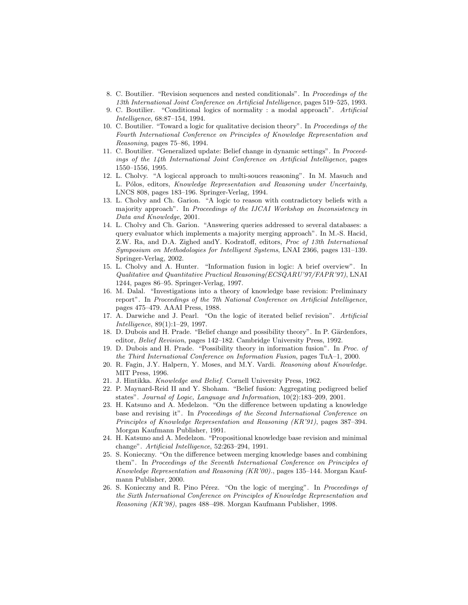- 8. C. Boutilier. "Revision sequences and nested conditionals". In Proceedings of the 13th International Joint Conference on Artificial Intelligence, pages 519–525, 1993.
- 9. C. Boutilier. "Conditional logics of normality : a modal approach". Artificial Intelligence, 68:87–154, 1994.
- 10. C. Boutilier. "Toward a logic for qualitative decision theory". In Proceedings of the Fourth International Conference on Principles of Knowledge Representation and Reasoning, pages 75–86, 1994.
- 11. C. Boutilier. "Generalized update: Belief change in dynamic settings". In Proceedings of the 14th International Joint Conference on Artificial Intelligence, pages 1550–1556, 1995.
- 12. L. Cholvy. "A logiccal approach to multi-souces reasoning". In M. Masuch and L. Pólos, editors, Knowledge Representation and Reasoning under Uncertainty, LNCS 808, pages 183–196. Springer-Verlag, 1994.
- 13. L. Cholvy and Ch. Garion. "A logic to reason with contradictory beliefs with a majority approach". In Proceedings of the IJCAI Workshop on Inconsistency in Data and Knowledge, 2001.
- 14. L. Cholvy and Ch. Garion. "Answering queries addressed to several databases: a query evaluator which implements a majority merging approach". In M.-S. Hacid, Z.W. Ra, and D.A. Zighed andY. Kodratoff, editors, Proc of 13th International Symposium on Methodologies for Intelligent Systems, LNAI 2366, pages 131–139. Springer-Verlag, 2002.
- 15. L. Cholvy and A. Hunter. "Information fusion in logic: A brief overview". In Qualitative and Quantitative Practical Reasoning(ECSQARU'97/FAPR'97), LNAI 1244, pages 86–95. Springer-Verlag, 1997.
- 16. M. Dalal. "Investigations into a theory of knowledge base revision: Preliminary report". In Proceedings of the 7th National Conference on Artificial Intelligence, pages 475–479. AAAI Press, 1988.
- 17. A. Darwiche and J. Pearl. "On the logic of iterated belief revision". Artificial Intelligence, 89(1):1–29, 1997.
- 18. D. Dubois and H. Prade. "Belief change and possibility theory". In P. Gärdenfors, editor, Belief Revision, pages 142–182. Cambridge University Press, 1992.
- 19. D. Dubois and H. Prade. "Possibility theory in information fusion". In Proc. of the Third International Conference on Information Fusion, pages TuA–1, 2000.
- 20. R. Fagin, J.Y. Halpern, Y. Moses, and M.Y. Vardi. Reasoning about Knowledge. MIT Press, 1996.
- 21. J. Hintikka. Knowledge and Belief. Cornell University Press, 1962.
- 22. P. Maynard-Reid II and Y. Shoham. "Belief fusion: Aggregating pedigreed belief states". Journal of Logic, Language and Information, 10(2):183–209, 2001.
- 23. H. Katsuno and A. Medelzon. "On the difference between updating a knowledge base and revising it". In Proceedings of the Second International Conference on Principles of Knowledge Representation and Reasoning (KR'91), pages 387–394. Morgan Kaufmann Publisher, 1991.
- 24. H. Katsuno and A. Medelzon. "Propositional knowledge base revision and minimal change". Artificial Intelligence, 52:263–294, 1991.
- 25. S. Konieczny. "On the difference between merging knowledge bases and combining them". In Proceedings of the Seventh International Conference on Principles of Knowledge Representation and Reasoning (KR'00)., pages 135–144. Morgan Kaufmann Publisher, 2000.
- 26. S. Konieczny and R. Pino Pérez. "On the logic of merging". In Proceedings of the Sixth International Conference on Principles of Knowledge Representation and Reasoning (KR'98), pages 488–498. Morgan Kaufmann Publisher, 1998.